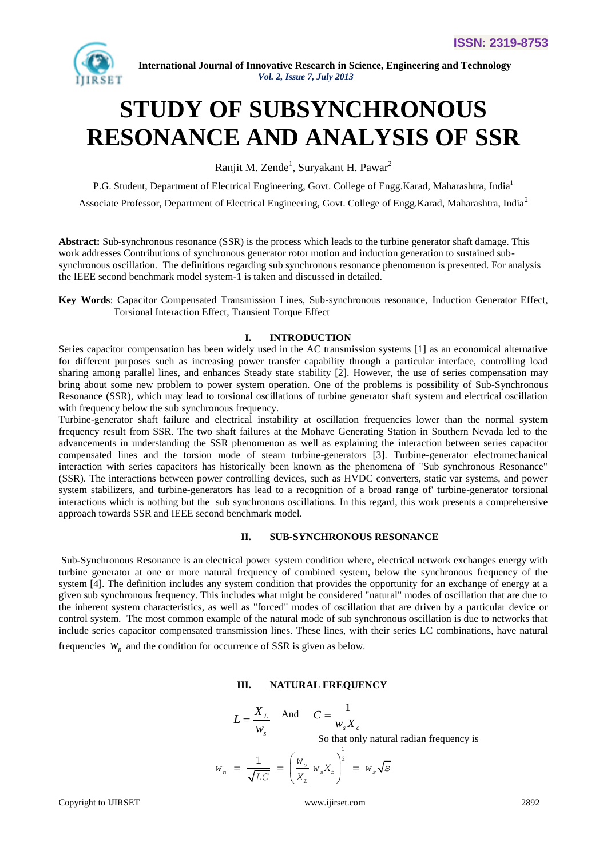

# **STUDY OF SUBSYNCHRONOUS RESONANCE AND ANALYSIS OF SSR**

Ranjit M. Zende<sup>1</sup>, Suryakant H. Pawar<sup>2</sup>

P.G. Student, Department of Electrical Engineering, Govt. College of Engg.Karad, Maharashtra, India<sup>1</sup>

Associate Professor, Department of Electrical Engineering, Govt. College of Engg.Karad, Maharashtra, India<sup>2</sup>

**Abstract:** Sub-synchronous resonance (SSR) is the process which leads to the turbine generator shaft damage. This work addresses Contributions of synchronous generator rotor motion and induction generation to sustained subsynchronous oscillation. The definitions regarding sub synchronous resonance phenomenon is presented. For analysis the IEEE second benchmark model system-1 is taken and discussed in detailed.

**Key Words**: Capacitor Compensated Transmission Lines, Sub-synchronous resonance, Induction Generator Effect, Torsional Interaction Effect, Transient Torque Effect

## **I. INTRODUCTION**

Series capacitor compensation has been widely used in the AC transmission systems [1] as an economical alternative for different purposes such as increasing power transfer capability through a particular interface, controlling load sharing among parallel lines, and enhances Steady state stability [2]. However, the use of series compensation may bring about some new problem to power system operation. One of the problems is possibility of Sub-Synchronous Resonance (SSR), which may lead to torsional oscillations of turbine generator shaft system and electrical oscillation with frequency below the sub synchronous frequency.

Turbine-generator shaft failure and electrical instability at oscillation frequencies lower than the normal system frequency result from SSR. The two shaft failures at the Mohave Generating Station in Southern Nevada led to the advancements in understanding the SSR phenomenon as well as explaining the interaction between series capacitor compensated lines and the torsion mode of steam turbine-generators [3]. Turbine-generator electromechanical interaction with series capacitors has historically been known as the phenomena of "Sub synchronous Resonance" (SSR). The interactions between power controlling devices, such as HVDC converters, static var systems, and power system stabilizers, and turbine-generators has lead to a recognition of a broad range of' turbine-generator torsional interactions which is nothing but the sub synchronous oscillations. In this regard, this work presents a comprehensive approach towards SSR and IEEE second benchmark model.

#### **II. SUB-SYNCHRONOUS RESONANCE**

Sub-Synchronous Resonance is an electrical power system condition where, electrical network exchanges energy with turbine generator at one or more natural frequency of combined system, below the synchronous frequency of the system [4]. The definition includes any system condition that provides the opportunity for an exchange of energy at a given sub synchronous frequency. This includes what might be considered "natural" modes of oscillation that are due to the inherent system characteristics, as well as "forced" modes of oscillation that are driven by a particular device or control system. The most common example of the natural mode of sub synchronous oscillation is due to networks that include series capacitor compensated transmission lines. These lines, with their series LC combinations, have natural frequencies  $W_n$  and the condition for occurrence of SSR is given as below.

### **III. NATURAL FREQUENCY**

$$
L = \frac{X_L}{w_s} \quad \text{And} \quad C = \frac{1}{w_s X_c}
$$

$$
w_s
$$
 So that only natural radian frequency is  

$$
w_n = \frac{1}{\sqrt{LC}} = \left(\frac{w_s}{X_L} w_s X_c\right)^{\frac{1}{2}} = w_s \sqrt{s}
$$

1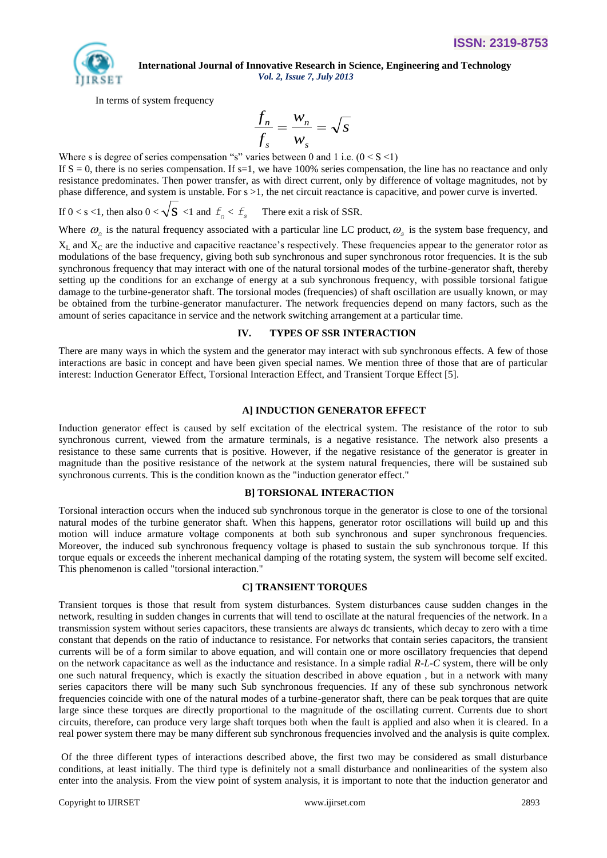

In terms of system frequency

$$
\frac{f_n}{f_s} = \frac{w_n}{w_s} = \sqrt{s}
$$

Where s is degree of series compensation "s" varies between 0 and 1 i.e.  $(0 \le S \le 1)$ 

If  $S = 0$ , there is no series compensation. If  $s=1$ , we have 100% series compensation, the line has no reactance and only resistance predominates. Then power transfer, as with direct current, only by difference of voltage magnitudes, not by phase difference, and system is unstable. For s >1, the net circuit reactance is capacitive, and power curve is inverted.

If  $0 < s < 1$ , then also  $0 < \sqrt{S} < 1$  and  $f_n < f_s$  There exit a risk of SSR.

Where  $\omega_n$  is the natural frequency associated with a particular line LC product,  $\omega_s$  is the system base frequency, and  $X_L$  and  $X_C$  are the inductive and capacitive reactance's respectively. These frequencies appear to the generator rotor as modulations of the base frequency, giving both sub synchronous and super synchronous rotor frequencies. It is the sub synchronous frequency that may interact with one of the natural torsional modes of the turbine-generator shaft, thereby setting up the conditions for an exchange of energy at a sub synchronous frequency, with possible torsional fatigue damage to the turbine-generator shaft. The torsional modes (frequencies) of shaft oscillation are usually known, or may be obtained from the turbine-generator manufacturer. The network frequencies depend on many factors, such as the amount of series capacitance in service and the network switching arrangement at a particular time.

# **IV. TYPES OF SSR INTERACTION**

There are many ways in which the system and the generator may interact with sub synchronous effects. A few of those interactions are basic in concept and have been given special names. We mention three of those that are of particular interest: Induction Generator Effect, Torsional Interaction Effect, and Transient Torque Effect [5].

# **A] INDUCTION GENERATOR EFFECT**

Induction generator effect is caused by self excitation of the electrical system. The resistance of the rotor to sub synchronous current, viewed from the armature terminals, is a negative resistance. The network also presents a resistance to these same currents that is positive. However, if the negative resistance of the generator is greater in magnitude than the positive resistance of the network at the system natural frequencies, there will be sustained sub synchronous currents. This is the condition known as the "induction generator effect."

#### **B] TORSIONAL INTERACTION**

Torsional interaction occurs when the induced sub synchronous torque in the generator is close to one of the torsional natural modes of the turbine generator shaft. When this happens, generator rotor oscillations will build up and this motion will induce armature voltage components at both sub synchronous and super synchronous frequencies. Moreover, the induced sub synchronous frequency voltage is phased to sustain the sub synchronous torque. If this torque equals or exceeds the inherent mechanical damping of the rotating system, the system will become self excited. This phenomenon is called "torsional interaction."

## **C] TRANSIENT TORQUES**

Transient torques is those that result from system disturbances. System disturbances cause sudden changes in the network, resulting in sudden changes in currents that will tend to oscillate at the natural frequencies of the network. In a transmission system without series capacitors, these transients are always dc transients, which decay to zero with a time constant that depends on the ratio of inductance to resistance. For networks that contain series capacitors, the transient currents will be of a form similar to above equation, and will contain one or more oscillatory frequencies that depend on the network capacitance as well as the inductance and resistance. In a simple radial *R-L-C* system, there will be only one such natural frequency, which is exactly the situation described in above equation , but in a network with many series capacitors there will be many such Sub synchronous frequencies. If any of these sub synchronous network frequencies coincide with one of the natural modes of a turbine-generator shaft, there can be peak torques that are quite large since these torques are directly proportional to the magnitude of the oscillating current. Currents due to short circuits, therefore, can produce very large shaft torques both when the fault is applied and also when it is cleared. In a real power system there may be many different sub synchronous frequencies involved and the analysis is quite complex.

Of the three different types of interactions described above, the first two may be considered as small disturbance conditions, at least initially. The third type is definitely not a small disturbance and nonlinearities of the system also enter into the analysis. From the view point of system analysis, it is important to note that the induction generator and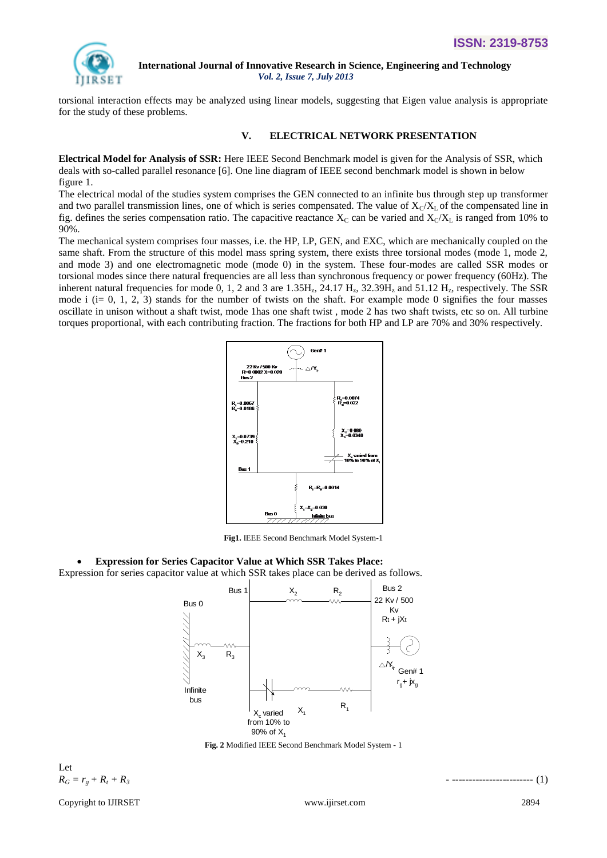

torsional interaction effects may be analyzed using linear models, suggesting that Eigen value analysis is appropriate for the study of these problems.

# **V. ELECTRICAL NETWORK PRESENTATION**

**Electrical Model for Analysis of SSR:** Here IEEE Second Benchmark model is given for the Analysis of SSR, which deals with so-called parallel resonance [6]. One line diagram of IEEE second benchmark model is shown in below figure 1.

The electrical modal of the studies system comprises the GEN connected to an infinite bus through step up transformer and two parallel transmission lines, one of which is series compensated. The value of  $X_C/X_L$  of the compensated line in fig. defines the series compensation ratio. The capacitive reactance  $X_c$  can be varied and  $X_c/X_L$  is ranged from 10% to 90%.

The mechanical system comprises four masses, i.e. the HP, LP, GEN, and EXC, which are mechanically coupled on the same shaft. From the structure of this model mass spring system, there exists three torsional modes (mode 1, mode 2, and mode 3) and one electromagnetic mode (mode 0) in the system. These four-modes are called SSR modes or torsional modes since there natural frequencies are all less than synchronous frequency or power frequency (60Hz). The inherent natural frequencies for mode 0, 1, 2 and 3 are  $1.35H_z$ ,  $24.17H_z$ ,  $32.39H_z$  and  $51.12H_z$ , respectively. The SSR mode i (i= 0, 1, 2, 3) stands for the number of twists on the shaft. For example mode 0 signifies the four masses oscillate in unison without a shaft twist, mode 1has one shaft twist , mode 2 has two shaft twists, etc so on. All turbine torques proportional, with each contributing fraction. The fractions for both HP and LP are 70% and 30% respectively.



**Fig1.** IEEE Second Benchmark Model System-1

**Expression for Series Capacitor Value at Which SSR Takes Place:**

Expression for series capacitor value at which SSR takes place can be derived as follows.



**Fig. 2** Modified IEEE Second Benchmark Model System - 1

Let  

$$
R_G = r_g + R_t + R_3
$$

*R<sup>G</sup> = rg + R<sup>t</sup> + R3* - ------------------------ (1)

Copyright to IJIRSET [www.ijirset.com](http://www.ijirset.com/) 2894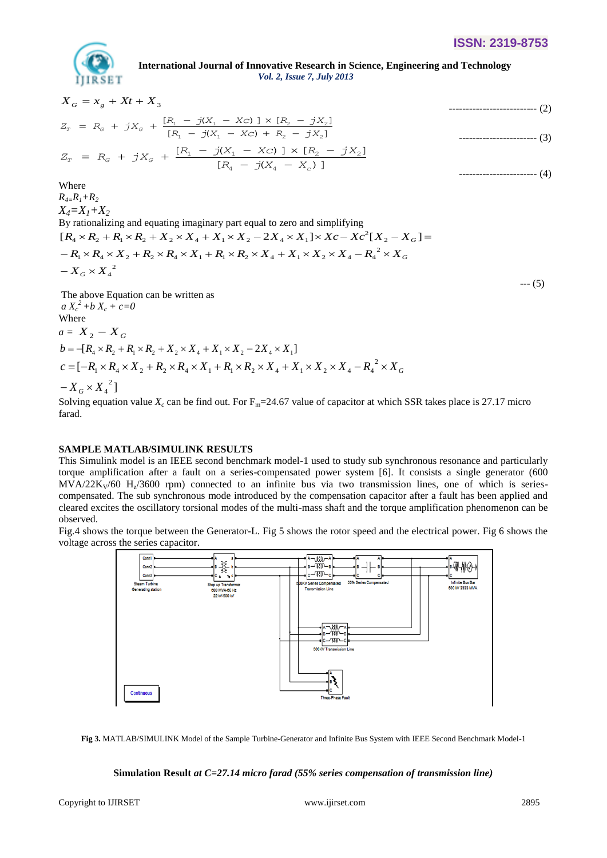$-- (5)$ 



 **International Journal of Innovative Research in Science, Engineering and Technology** *Vol. 2, Issue 7, July 2013*

$$
X_G = x_g + Xt + X_3
$$
  
\n
$$
Z_T = R_G + jX_G + \frac{[R_1 - j(X_1 - XC)] \times [R_2 - jX_2]}{[R_1 - j(X_1 - XC) + R_2 - jX_2]}
$$
  
\n
$$
Z_T = R_G + jX_G + \frac{[R_1 - j(X_1 - XC)] \times [R_2 - jX_2]}{[R_4 - j(X_4 - X_C)]}
$$
\n
$$
(4)
$$

Where

*R4=R1+R<sup>2</sup> X4=X1+X<sup>2</sup>*

By rationalizing and equating imaginary part equal to zero and simplifying

$$
R_{4}=R_{1}+R_{2}
$$
  
\n
$$
X_{4}=X_{1}+X_{2}
$$
  
\nBy rationalizing and equating imaginary part equal to zero and simplifying  
\n
$$
[R_{4}\times R_{2}+R_{1}\times R_{2}+X_{2}\times X_{4}+X_{1}\times X_{2}-2X_{4}\times X_{1}]\times Xc-Xc^{2}[X_{2}-X_{G}]=
$$
\n
$$
-R_{1}\times R_{4}\times X_{2}+R_{2}\times R_{4}\times X_{1}+R_{1}\times R_{2}\times X_{4}+X_{1}\times X_{2}\times X_{4}-R_{4}^{2}\times X_{G}
$$
\n
$$
-X_{G}\times X_{4}^{2}
$$

The above Equation can be written as  $a X_c^2 + b X_c + c = 0$ Where  $a = X_2 - X_G$  $b = -[R_4 \times R_2 + R_1 \times R_2 + X_2 \times X_4 + X_1 \times X_2 - 2X_4 \times X_1]$  $^{2}$ ]  $[-R_1 \times R_4 \times X_2 + R_2 \times R_4 \times X_1 + R_1 \times R_2 \times X_4 + X_1 \times X_2 \times X_4 - R_4^2]$  $-X_G \times X_4$  $c = [-R_1 \times R_4 \times X_2 + R_2 \times R_4 \times X_1 + R_1 \times R_2 \times X_4 + X_1 \times X_2 \times X_4 - R_4^2 \times X_6]$ 

Solving equation value  $X_c$  can be find out. For  $F_m=24.67$  value of capacitor at which SSR takes place is 27.17 micro farad.

# **SAMPLE MATLAB/SIMULINK RESULTS**

This Simulink model is an IEEE second benchmark model-1 used to study sub synchronous resonance and particularly torque amplification after a fault on a series-compensated power system [6]. It consists a single generator (600  $MVA/22K<sub>V</sub>/60$  H<sub>z</sub>/3600 rpm) connected to an infinite bus via two transmission lines, one of which is seriescompensated. The sub synchronous mode introduced by the compensation capacitor after a fault has been applied and cleared excites the oscillatory torsional modes of the multi-mass shaft and the torque amplification phenomenon can be observed.

Fig.4 shows the torque between the Generator-L. Fig 5 shows the rotor speed and the electrical power. Fig 6 shows the voltage across the series capacitor.



**Fig 3.** MATLAB/SIMULINK Model of the Sample Turbine-Generator and Infinite Bus System with IEEE Second Benchmark Model-1

**Simulation Result** *at C=27.14 micro farad (55% series compensation of transmission line)*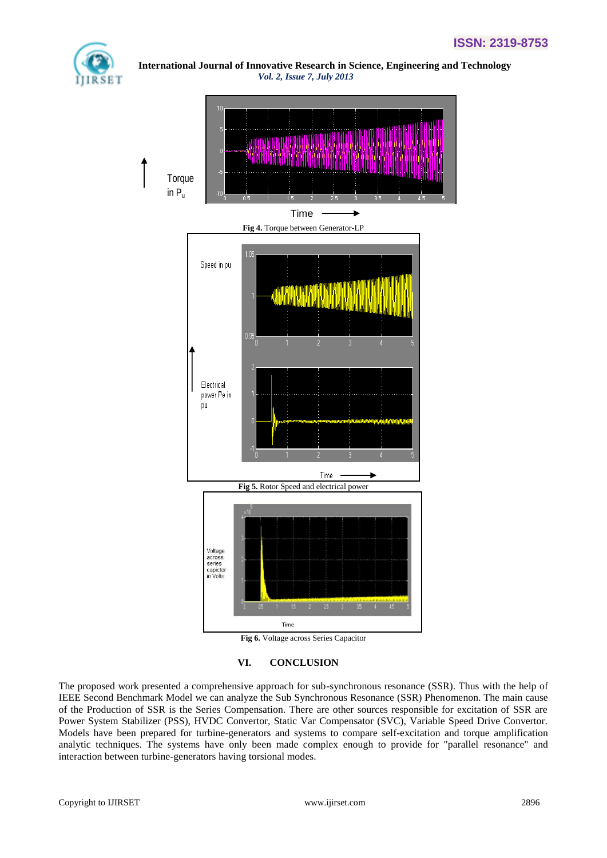



# **VI. CONCLUSION**

The proposed work presented a comprehensive approach for sub-synchronous resonance (SSR). Thus with the help of IEEE Second Benchmark Model we can analyze the Sub Synchronous Resonance (SSR) Phenomenon. The main cause of the Production of SSR is the Series Compensation. There are other sources responsible for excitation of SSR are Power System Stabilizer (PSS), HVDC Convertor, Static Var Compensator (SVC), Variable Speed Drive Convertor. Models have been prepared for turbine-generators and systems to compare self-excitation and torque amplification analytic techniques. The systems have only been made complex enough to provide for "parallel resonance" and interaction between turbine-generators having torsional modes.